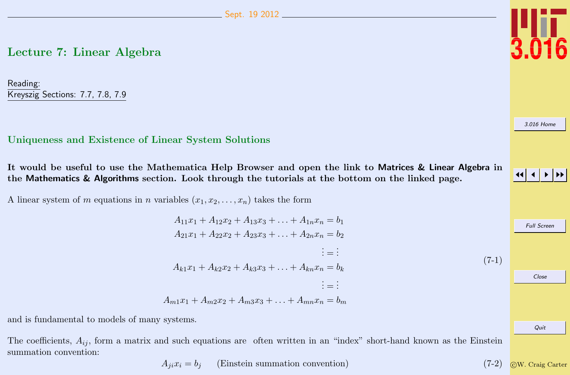# <span id="page-0-0"></span>Lecture 7: Linear Algebra

Reading: Kreyszig Sections: 7.7, 7.8, 7.9

# Uniqueness and Existence of Linear System Solutions

It would be useful to use the Mathematica Help Browser and open the link to Matrices & Linear Algebra in the Mathematics & Algorithms section. Look through the tutorials at the bottom on the linked page.

 $A_{11}x_1 + A_{12}x_2 + A_{13}x_3 + A_{1n}x_n = b_1$ 

A linear system of m equations in n variables  $(x_1, x_2, \ldots, x_n)$  takes the form

$$
A_{21}x_1 + A_{22}x_2 + A_{13}x_3 + \dots + A_{1n}x_n = b_1
$$
  
\n
$$
A_{21}x_1 + A_{22}x_2 + A_{23}x_3 + \dots + A_{2n}x_n = b_2
$$
  
\n
$$
\vdots = \vdots
$$
  
\n
$$
A_{k1}x_1 + A_{k2}x_2 + A_{k3}x_3 + \dots + A_{kn}x_n = b_k
$$
  
\n
$$
\vdots = \vdots
$$
  
\n
$$
A_{m1}x_1 + A_{m2}x_2 + A_{m3}x_3 + \dots + A_{mn}x_n = b_m
$$

and is fundamental to models of many systems.

The coefficients,  $A_{ij}$ , form a matrix and such equations are often written in an "index" short-hand known as the Einstein summation convention:

$$
A_{ji}x_i = b_j
$$
 (Einstein summation convention) (7-2)  $\circled{C}W$ . Craig Carter

$$
\begin{array}{c}\n \text{3.016 Home} \\
\hline\n \text{41.1 }\text{N}\n \end{array}
$$
\n\nFull Screen

\nClose

Quit

 $(7-1)$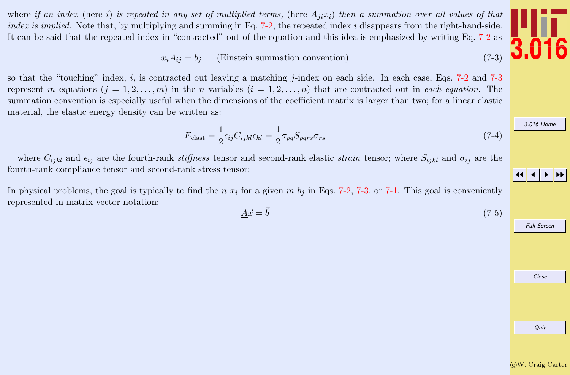

<span id="page-1-0"></span>where if an index (here i) is repeated in any set of multiplied terms, (here  $A_{ji}x_i$ ) then a summation over all values of that *index is implied.* Note that, by multiplying and summing in Eq. [7-2,](#page-0-0) the repeated index  $i$  disappears from the right-hand-side. It can be said that the repeated index in "contracted" out of the equation and this idea is emphasized by writing Eq. [7-2](#page-0-0) as

$$
x_i A_{ij} = b_j \qquad \text{(Einstein summation convention)}\tag{7-3}
$$

so that the "touching" index, i, is contracted out leaving a matching j-index on each side. In each case, Eqs.  $7-2$  and  $7-3$ represent m equations  $(j = 1, 2, ..., m)$  in the n variables  $(i = 1, 2, ..., n)$  that are contracted out in each equation. The summation convention is especially useful when the dimensions of the coefficient matrix is larger than two; for a linear elastic material, the elastic energy density can be written as:

$$
E_{\text{elast}} = \frac{1}{2} \epsilon_{ij} C_{ijkl} \epsilon_{kl} = \frac{1}{2} \sigma_{pq} S_{pqrs} \sigma_{rs}
$$
\n(7-4)

where  $C_{ijkl}$  and  $\epsilon_{ij}$  are the fourth-rank stiffness tensor and second-rank elastic strain tensor; where  $S_{ijkl}$  and  $\sigma_{ij}$  are the fourth-rank compliance tensor and second-rank stress tensor;

In physical problems, the goal is typically to find the n  $x_i$  for a given m  $b_i$  in Eqs. [7-2,](#page-0-0) 7-3, or [7-1.](#page-0-0) This goal is conveniently represented in matrix-vector notation:

$$
\underline{A}\vec{x} = \vec{b} \tag{7-5}
$$



Full Screen

| Close |  |
|-------|--|

Quit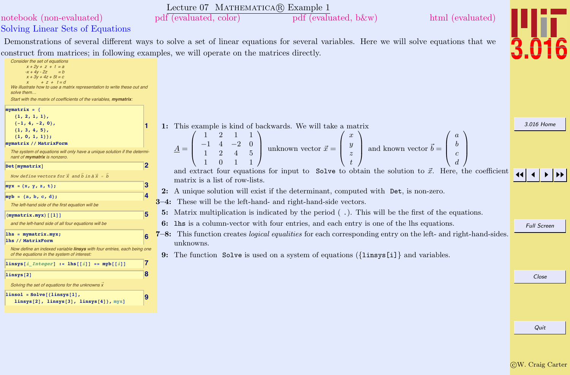<span id="page-2-0"></span>

|                                                                                                                                                                                                                                                                                                              | Lecture 07 MATHEMATICA(R) Example 1                                                                                                                                                                              |                    |
|--------------------------------------------------------------------------------------------------------------------------------------------------------------------------------------------------------------------------------------------------------------------------------------------------------------|------------------------------------------------------------------------------------------------------------------------------------------------------------------------------------------------------------------|--------------------|
| notebook (non-evaluated)                                                                                                                                                                                                                                                                                     | pdf (evaluated, color)<br>pdf (evaluated, b&w)<br>html (evaluated)                                                                                                                                               |                    |
| Solving Linear Sets of Equations                                                                                                                                                                                                                                                                             |                                                                                                                                                                                                                  |                    |
|                                                                                                                                                                                                                                                                                                              | Demonstrations of several different ways to solve a set of linear equations for several variables. Here we will solve equations that we                                                                          |                    |
|                                                                                                                                                                                                                                                                                                              | construct from matrices; in following examples, we will operate on the matrices directly.                                                                                                                        |                    |
| Consider the set of equations<br>$x + 2y + z + t = a$<br>$= b$<br>$-x + 4v - 2z$<br>$x + 3y + 4z + 5t = c$<br>$+ z + t = d$<br>We illustrate how to use a matrix representation to write these out and<br>solve them.<br>Start with the matrix of coefficients of the variables, mymatrix:<br>$mymatrix = {$ |                                                                                                                                                                                                                  |                    |
| ${1, 2, 1, 1},$<br>$\{-1, 4, -2, 0\},$                                                                                                                                                                                                                                                                       | 1: This example is kind of backwards. We will take a matrix                                                                                                                                                      | 3.016 Home         |
| ${1, 3, 4, 5},$<br>${1, 0, 1, 1}$                                                                                                                                                                                                                                                                            |                                                                                                                                                                                                                  |                    |
| mymatrix // MatrixForm                                                                                                                                                                                                                                                                                       |                                                                                                                                                                                                                  |                    |
| The system of equations will only have a unique solution if the determi-<br>nant of mymatrix is nonzero.                                                                                                                                                                                                     | $\begin{bmatrix} -1 & 4 & -2 & 0 \\ 1 & 2 & 4 & 5 \end{bmatrix}$ unknown vector $\vec{x} = \begin{bmatrix} y \\ y \\ z \end{bmatrix}$ and known vector $\vec{b} = \begin{bmatrix} 1 \\ 2 \end{bmatrix}$<br>$A =$ |                    |
| $\mathbf{2}$<br>Det [mymatrix]                                                                                                                                                                                                                                                                               | and extract four equations for input to Solve to obtain the solution to $\vec{x}$ . Here, the coefficient                                                                                                        |                    |
| Now define vectors for $\vec{x}$ and $\vec{b}$ in $\vec{A} \times \vec{x} = \vec{b}$                                                                                                                                                                                                                         | matrix is a list of row-lists.                                                                                                                                                                                   |                    |
| 3<br>$myx = {x, y, z, t};$                                                                                                                                                                                                                                                                                   | 2: A unique solution will exist if the determinant, computed with Det, is non-zero.                                                                                                                              |                    |
| $myb = {a, b, c, d};$                                                                                                                                                                                                                                                                                        |                                                                                                                                                                                                                  |                    |
| The left-hand side of the first equation will be                                                                                                                                                                                                                                                             | <b>3-4:</b> These will be the left-hand- and right-hand-side vectors.                                                                                                                                            |                    |
| 5<br>$(mymatrix.myx)$ [[1]]                                                                                                                                                                                                                                                                                  | 5: Matrix multiplication is indicated by the period $(\cdot)$ . This will be the first of the equations.                                                                                                         |                    |
| and the left-hand side of all four equations will be                                                                                                                                                                                                                                                         | 6: 1hs is a column-vector with four entries, and each entry is one of the lhs equations.                                                                                                                         | <b>Full Screen</b> |
| $lhs = mymatrix.myx;$                                                                                                                                                                                                                                                                                        | 7-8: This function creates <i>logical equalities</i> for each corresponding entry on the left- and right-hand-sides.                                                                                             |                    |
| lhs // MatrixForm<br>Now define an indexed variable linsys with four entries, each being one                                                                                                                                                                                                                 | unknowns.                                                                                                                                                                                                        |                    |
| of the equations in the system of interest.                                                                                                                                                                                                                                                                  | 9: The function Solve is used on a system of equations $({\{\text{links}[i]\}}$ and variables.                                                                                                                   |                    |
| 17<br>linsys[i_Integer] := lhs[[i]] == myb[[i]]                                                                                                                                                                                                                                                              |                                                                                                                                                                                                                  |                    |
| 8<br>linsys <sup>[2]</sup>                                                                                                                                                                                                                                                                                   |                                                                                                                                                                                                                  | Close              |
| Solving the set of equations for the unknowns x                                                                                                                                                                                                                                                              |                                                                                                                                                                                                                  |                    |
| $linsol = Solve[{linsys[1]},$<br>19<br>linsys $[2]$ , linsys $[3]$ , linsys $[4]$ , myx]                                                                                                                                                                                                                     |                                                                                                                                                                                                                  |                    |
|                                                                                                                                                                                                                                                                                                              |                                                                                                                                                                                                                  |                    |
|                                                                                                                                                                                                                                                                                                              |                                                                                                                                                                                                                  |                    |
|                                                                                                                                                                                                                                                                                                              |                                                                                                                                                                                                                  | Quit               |
|                                                                                                                                                                                                                                                                                                              |                                                                                                                                                                                                                  |                    |
|                                                                                                                                                                                                                                                                                                              |                                                                                                                                                                                                                  |                    |
|                                                                                                                                                                                                                                                                                                              |                                                                                                                                                                                                                  |                    |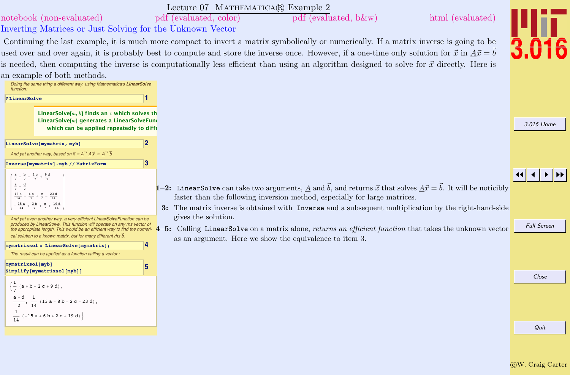<span id="page-3-0"></span>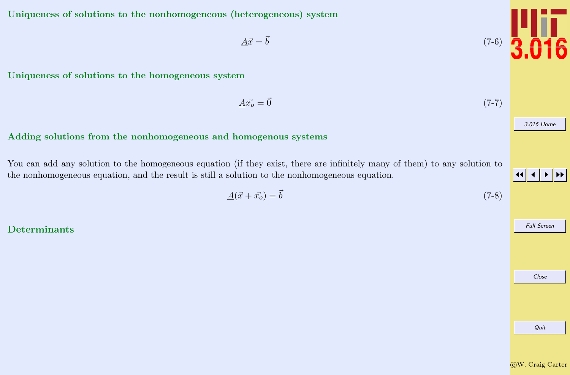Quit

# <span id="page-4-0"></span>Uniqueness of solutions to the nonhomogeneous (heterogeneous) system

Uniqueness of solutions to the homogeneous system

Adding solutions from the nonhomogeneous and homogenous systems

You can add any solution to the homogeneous equation (if they exist, there are infinitely many of them) to any solution to the nonhomogeneous equation, and the result is still a solution to the nonhomogeneous equation.

$$
\underline{A}(\vec{x} + \vec{x_o}) = \vec{b} \tag{7-8}
$$

Determinants



$$
\underline{A}\vec{x_o} = \vec{0} \tag{7-7}
$$

JJ J I II

Full Screen

Close

[3.016 Home](http://pruffle.mit.edu/3.016-2012/)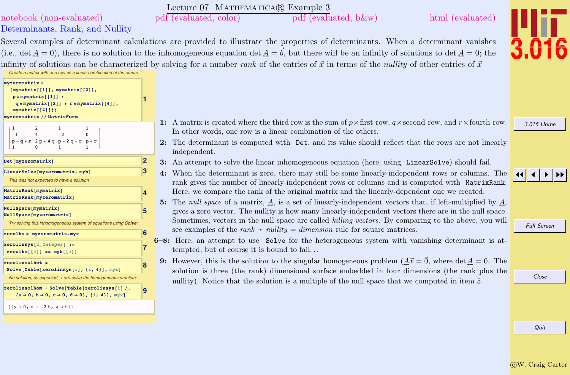<span id="page-5-0"></span>

|                                                                                                                                                                        |                         | Lecture 07 MATHEMATICA® Example 3                                                                                                                                                                                                                                                                                          |
|------------------------------------------------------------------------------------------------------------------------------------------------------------------------|-------------------------|----------------------------------------------------------------------------------------------------------------------------------------------------------------------------------------------------------------------------------------------------------------------------------------------------------------------------|
| notebook (non-evaluated)                                                                                                                                               |                         | pdf (evaluated, color)<br>pdf (evaluated, b&w)<br>html (evaluated)                                                                                                                                                                                                                                                         |
| Determinants, Rank, and Nullity                                                                                                                                        |                         |                                                                                                                                                                                                                                                                                                                            |
|                                                                                                                                                                        |                         | Several examples of determinant calculations are provided to illustrate the properties of determinants. When a determinant vanishes                                                                                                                                                                                        |
|                                                                                                                                                                        |                         | (i.e., det $\underline{A}=0$ ), there is no solution to the inhomogeneous equation det $\underline{A}=\vec{b}$ , but there will be an infinity of solutions to det $\underline{A}=0$ ; the                                                                                                                                 |
| Create a matrix with one row as a linear combination of the others                                                                                                     |                         | infinity of solutions can be characterized by solving for a number rank of the entries of $\vec{x}$ in terms of the <i>nullity</i> of other entries of $\vec{x}$                                                                                                                                                           |
| $myzeromatrix =$<br>${mymatrix[1]}, mymatrix[2],$<br>$p * mymatrix[[1]] +$<br>$q * mymatrix[[2]] + r * mymatrix[[4]],$<br>mymatrix[[4]];<br>myzeromatrix // MatrixForm |                         |                                                                                                                                                                                                                                                                                                                            |
| $\mathbf{1}$<br>$\mathbf{1}$<br>$-2$<br>$\Omega$<br>$-1$<br>$p - q + r$ 2 $p + 4 q$ $p - 2 q + r$ $p + r$<br>$\overline{1}$                                            |                         | 1: A matrix is created where the third row is the sum of $p \times$ first row, q $\times$ second row, and $r \times$ fourth row.<br>In other words, one row is a linear combination of the others.<br>2: The determinant is computed with Det, and its value should reflect that the rows are not linearly<br>independent. |
| 2 <br>Det [myzeromatrix]                                                                                                                                               |                         | 3: An attempt to solve the linear inhomogeneous equation (here, using LinearSolve) should fail.                                                                                                                                                                                                                            |
| 13<br>LinearSolve[myzeromatrix, myb]<br>This was not expected to have a solution                                                                                       |                         | 4: When the determinant is zero, there may still be some linearly-independent rows or columns. The<br>rank gives the number of linearly-independent rows or columns and is computed with MatrixRank.                                                                                                                       |
| MatrixRank[mymatrix]<br>MatrixRank[myzeromatrix]                                                                                                                       | $\overline{\mathbf{A}}$ | Here, we compare the rank of the original matrix and the linearly-dependent one we created.<br>5: The null space of a matrix, $\underline{A}$ , is a set of linearly-independent vectors that, if left-multiplied by $\underline{A}$ ,                                                                                     |
| NullSpace [mymatrix]<br>5<br>NullSpace[myzeromatrix]<br>Try solving this inhomogeneous system of equations using Solve.                                                |                         | gives a zero vector. The nullity is how many linearly-independent vectors there are in the null space.<br>Sometimes, vectors in the null space are called killing vectors. By comparing to the above, you will                                                                                                             |
| $zerol$ are $nyz$ eromatrix. myx                                                                                                                                       |                         | see examples of the rank + nullity = dimension rule for square matrices.                                                                                                                                                                                                                                                   |
| $ zerolings[i \nInteger] :=$<br>$zerolns[[i]] == mpb[[i]]$                                                                                                             |                         | $6-8$ : Here, an attempt to use Solve for the heterogeneous system with vanishing determinant is at-<br>tempted, but of course it is bound to fail                                                                                                                                                                         |
| $zerolinsolhet =$<br>Solve[Table[zerolinsys[i], {i, 4}], myx]<br>No solution, as expected, Let's solve the homogeneous problem:                                        |                         | 9: However, this is the solution to the singular homogeneous problem $(A\vec{x} = \vec{0})$ , where det $A = 0$ . The<br>solution is three (the rank) dimensional surface embedded in four dimensions (the rank plus the<br>nullity). Notice that the solution is a multiple of the null space that we computed in item 5. |
| zerolinsolhom = Solve[Table[zerolinsys[i] /.<br>${a \rightarrow 0, b \rightarrow 0, c \rightarrow 0, d \rightarrow 0}, {i, 4},$                                        | 9                       |                                                                                                                                                                                                                                                                                                                            |
| $\{\{y \rightarrow 0, x \rightarrow -2 t, z \rightarrow t\}\}\$                                                                                                        |                         |                                                                                                                                                                                                                                                                                                                            |
|                                                                                                                                                                        |                         |                                                                                                                                                                                                                                                                                                                            |

Quit

[3.016 Home](http://pruffle.mit.edu/3.016-2012/)

3.016

 $|4|$   $|$   $|$   $|$   $|$   $|$   $|$   $|$ 

Full Screen

Close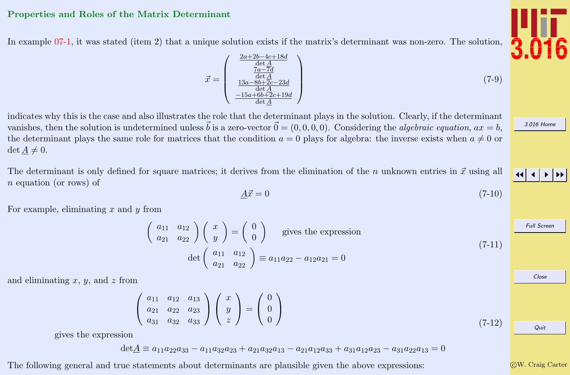### <span id="page-6-0"></span>Properties and Roles of the Matrix Determinant

In example [07-1,](#page-2-0) it was stated (item 2) that a unique solution exists if the matrix's determinant was non-zero. The solution,

$$
\vec{x} = \begin{pmatrix} \frac{2a + 2b - 4c + 18d}{\det A} \\ \frac{7a - 7d}{\det A} \\ \frac{13a - 8b + 2c - 23d}{\det A} \\ \frac{-15a + 6b + 2c + 19d}{\det A} \end{pmatrix} \tag{7-9}
$$

indicates why this is the case and also illustrates the role that the determinant plays in the solution. Clearly, if the determinant vanishes, then the solution is undetermined unless  $\vec{b}$  is a zero-vector  $\vec{0} = (0, 0, 0, 0)$ . Considering the algebraic equation,  $ax = b$ , the determinant plays the same role for matrices that the condition  $a = 0$  plays for algebra: the inverse exists when  $a \neq 0$  or  $\det \underline{A} \neq 0.$ 

The determinant is only defined for square matrices; it derives from the elimination of the n unknown entries in  $\vec{x}$  using all n equation (or rows) of

$$
\underline{A}\vec{x} = 0\tag{7-10}
$$

For example, eliminating  $x$  and  $y$  from

$$
\begin{pmatrix} a_{11} & a_{12} \ a_{21} & a_{22} \end{pmatrix} \begin{pmatrix} x \ y \end{pmatrix} = \begin{pmatrix} 0 \ 0 \end{pmatrix}
$$
 gives the expression  
det 
$$
\begin{pmatrix} a_{11} & a_{12} \ a_{21} & a_{22} \end{pmatrix} \equiv a_{11}a_{22} - a_{12}a_{21} = 0
$$
 (7-11)

and eliminating  $x, y$ , and  $z$  from

$$
\left(\begin{array}{ccc} a_{11} & a_{12} & a_{13} \\ a_{21} & a_{22} & a_{23} \\ a_{31} & a_{32} & a_{33} \end{array}\right) \left(\begin{array}{c} x \\ y \\ z \end{array}\right) = \left(\begin{array}{c} 0 \\ 0 \\ 0 \end{array}\right)
$$

gives the expression

 $\det A \equiv a_{11}a_{22}a_{33} - a_{11}a_{32}a_{23} + a_{21}a_{32}a_{13} - a_{21}a_{12}a_{33} + a_{31}a_{12}a_{23} - a_{31}a_{22}a_{13} = 0$ 

The following general and true statements about determinants are plausible given the above expressions:





[3.016 Home](http://pruffle.mit.edu/3.016-2012/)

JJ J I II

Full Screen

Close

Quit

 $(7-12)$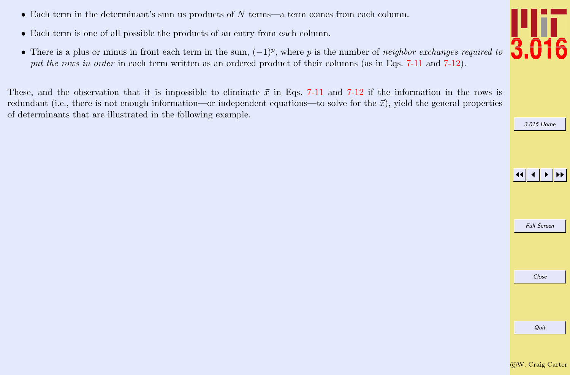- Each term in the determinant's sum us products of N terms—a term comes from each column.
- Each term is one of all possible the products of an entry from each column.
- There is a plus or minus in front each term in the sum,  $(-1)^p$ , where p is the number of neighbor exchanges required to put the rows in order in each term written as an ordered product of their columns (as in Eqs. [7-11](#page-6-0) and [7-12\)](#page-6-0).

These, and the observation that it is impossible to eliminate  $\vec{x}$  in Eqs. [7-11](#page-6-0) and [7-12](#page-6-0) if the information in the rows is redundant (i.e., there is not enough information—or independent equations—to solve for the  $\vec{x}$ ), yield the general properties of determinants that are illustrated in the following example.



[3.016 Home](http://pruffle.mit.edu/3.016-2012/)

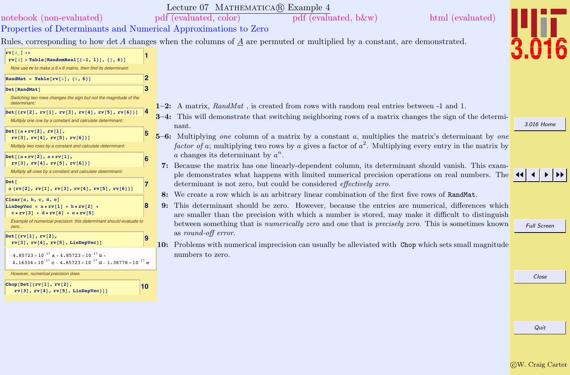<span id="page-8-0"></span>

|                                                                                                                                                                                                              | Lecture 07 MATHEMATICA(R) Example 4                                                                                                                                                                                                                                                                          |                    |
|--------------------------------------------------------------------------------------------------------------------------------------------------------------------------------------------------------------|--------------------------------------------------------------------------------------------------------------------------------------------------------------------------------------------------------------------------------------------------------------------------------------------------------------|--------------------|
| notebook (non-evaluated)                                                                                                                                                                                     | pdf (evaluated, color)<br>html (evaluated)<br>pdf (evaluated, b&w)                                                                                                                                                                                                                                           |                    |
| Properties of Determinants and Numerical Approximations to Zero                                                                                                                                              |                                                                                                                                                                                                                                                                                                              |                    |
|                                                                                                                                                                                                              | Rules, corresponding to how det A changes when the columns of A are permuted or multiplied by a constant, are demonstrated.                                                                                                                                                                                  |                    |
| $rv[i] :=$<br>$rv[i]$ = Table [RandomReal $[{-1, 1}]$ , ${j, 6}]$ ]<br>Now use rv to make a $6 \times 6$ matrix, then find its determinant.<br>2<br>RandMat = Table[ $rv[i]$ , {i, 6}]<br>3<br>Det [RandMat] |                                                                                                                                                                                                                                                                                                              |                    |
| Switching two rows changes the sign but not the magnitude of the<br>determinant                                                                                                                              | 1-2: A matrix, $RandMat$ , is created from rows with random real entries between -1 and 1.                                                                                                                                                                                                                   |                    |
| $Det[{rv[2], rv[1], rv[3], rv[4], rv[5], rv[6]]$<br>Multiply one row by a constant and calculate determinant                                                                                                 | 3-4: This will demonstrate that switching neighboring rows of a matrix changes the sign of the determi-<br>nant.                                                                                                                                                                                             | 3.016 Home         |
| $Det[{a*rv[2], rv[1]},$<br>rv[3], rv[4], rv[5], rv[6]]<br>Multiply two rows by a constant and calculate determinant:                                                                                         | 5–6: Multiplying one column of a matrix by a constant a, multiplies the matrix's determinant by one<br>factor of a; multiplying two rows by a gives a factor of $a^2$ . Multiplying every entry in the matrix by                                                                                             |                    |
| $Det[{a*rv[2]}, a*rv[1],$<br>rv[3], rv[4], rv[5], rv[6]]<br>Multiply all rows by a constant and calculate determinant.                                                                                       | a changes its determinant by $a^n$ .<br>7: Because the matrix has one linearly-dependent column, its determinant should vanish. This exam-<br>ple demonstrates what happens with limited numerical precision operations on real numbers. The                                                                 |                    |
| Det [<br>7<br>$a {rv[2], rv[1], rv[3], rv[4], rv[5], rv[6]]}$                                                                                                                                                | determinant is not zero, but could be considered <i>effectively zero</i> .                                                                                                                                                                                                                                   |                    |
| Clear[a, b, c, d, e]<br>8<br>LinDepVec = $a * rv[1] + b * rv[2]$<br>$c*rv[3] + d*rv[4] + e*rv[5]$                                                                                                            | 8: We create a row which is an arbitrary linear combination of the first five rows of RandMat.<br>This determinant should be zero. However, because the entries are numerical, differences which<br>9:<br>are smaller than the precision with which a number is stored, may make it difficult to distinguish |                    |
| Example of numerical precision: this determinant should evaluate to<br>zero                                                                                                                                  | between something that is numerically zero and one that is precisely zero. This is sometimes known                                                                                                                                                                                                           | <b>Full Screen</b> |
| $Det[\{rv[1], rv[2],$<br>$rv[3]$ , $rv[4]$ , $rv[5]$ , LinDepVec}]                                                                                                                                           | as round-off error.<br>10: Problems with numerical imprecision can usually be alleviated with Chop which sets small magnitude                                                                                                                                                                                |                    |
| $-4.85723 \times 10^{-17}$ a + 4.85723 $\times 10^{-17}$ b +<br>$4.16334 \times 10^{-17}$ c - $4.85723 \times 10^{-17}$ d - $1.38778 \times 10^{-17}$ e                                                      | numbers to zero.                                                                                                                                                                                                                                                                                             |                    |
| However, numerical precision does                                                                                                                                                                            |                                                                                                                                                                                                                                                                                                              | Close              |
| Chop[Det[ $\{rv[1], rv[2],$<br> 10<br>rv[3], rv[4], rv[5], LinDepVec]]                                                                                                                                       |                                                                                                                                                                                                                                                                                                              |                    |
|                                                                                                                                                                                                              |                                                                                                                                                                                                                                                                                                              |                    |
|                                                                                                                                                                                                              |                                                                                                                                                                                                                                                                                                              |                    |
|                                                                                                                                                                                                              |                                                                                                                                                                                                                                                                                                              | Quit               |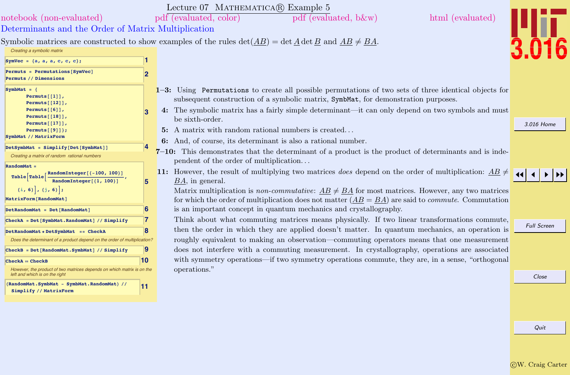<span id="page-9-0"></span>

|                                                                                                                                                                                  |                       | Lecture 07 MATHEMATICA(R) Example 5                                                                                                                                                                                                                                                                                                                                                                                                                         |                    |
|----------------------------------------------------------------------------------------------------------------------------------------------------------------------------------|-----------------------|-------------------------------------------------------------------------------------------------------------------------------------------------------------------------------------------------------------------------------------------------------------------------------------------------------------------------------------------------------------------------------------------------------------------------------------------------------------|--------------------|
| notebook (non-evaluated)                                                                                                                                                         |                       | pdf (evaluated, color)<br>$pdf$ (evaluated, b &w)<br>html (evaluated)                                                                                                                                                                                                                                                                                                                                                                                       |                    |
| Determinants and the Order of Matrix Multiplication                                                                                                                              |                       |                                                                                                                                                                                                                                                                                                                                                                                                                                                             |                    |
| Creating a symbolic matrix<br>SymVec = $\{a, a, a, c, c, c\}$ ;                                                                                                                  | 11                    | Symbolic matrices are constructed to show examples of the rules $\det(AB) = \det A \det B$ and $AB \neq BA$ .                                                                                                                                                                                                                                                                                                                                               |                    |
| Permuts = Permutations [SymVec]<br>Permuts // Dimensions                                                                                                                         | 2                     |                                                                                                                                                                                                                                                                                                                                                                                                                                                             |                    |
| SymbMat = $\{$<br>Permuts $[1]$ ,<br>Permuts[[12]],<br>Permuts $[6]$ ,<br>Permuts $[18]$ ,<br>Permuts $[17]$ ,<br>Permuts[[9]];                                                  | з                     | 1-3: Using Permutations to create all possible permutations of two sets of three identical objects for<br>subsequent construction of a symbolic matrix, SymbMat, for demonstration purposes.<br>4: The symbolic matrix has a fairly simple determinant—it can only depend on two symbols and must<br>be sixth-order.<br>5: A matrix with random rational numbers is created                                                                                 | 3.016 Home         |
| SymbMat // MatrixForm<br>$DetSymbMat = Simplify[Det[SymbMat]]$<br>Creating a matrix of random rational numbers<br>RandomMat =                                                    | 14                    | 6: And, of course, its determinant is also a rational number.<br>$7-10$ : This demonstrates that the determinant of a product is the product of determinants and is inde-<br>pendent of the order of multiplication                                                                                                                                                                                                                                         |                    |
| RandomInteger[{-100, 100}]<br>Table Table<br>RandomInteger[{1, 100}]<br>$\{i, 6\}$ , $\{j, 6\}$ ;<br>MatrixForm [RandomMat]<br>DetRandomMat = Det[RandomMat]                     | 5<br>6                | 11: However, the result of multiplying two matrices <i>does</i> depend on the order of multiplication: $\underline{AB} \neq \underline{AB}$<br>$BA$ , in general.<br>Matrix multiplication is non-commutative: $AB \neq BA$ for most matrices. However, any two matrices<br>for which the order of multiplication does not matter $(AB = BA)$ are said to <i>commute</i> . Commutation<br>is an important concept in quantum mechanics and crystallography. |                    |
| CheckA = Det [SymbMat.RandomMat] // Simplify<br>DetRandomMat * DetSymbMat == CheckA<br>Does the determinant of a product depend on the order of multiplication?                  | 17<br>8               | Think about what commuting matrices means physically. If two linear transformations commute,<br>then the order in which they are applied doesn't matter. In quantum mechanics, an operation is<br>roughly equivalent to making an observation—commuting operators means that one measurement                                                                                                                                                                | <b>Full Screen</b> |
| CheckB = Det [RandomMat.SymbMat] // Simplify<br>$CheckA = CheckB$                                                                                                                | $\vert 9 \vert$<br>10 | does not interfere with a commuting measurement. In crystallography, operations are associated<br>with symmetry operations—if two symmetry operations commute, they are, in a sense, "orthogonal"                                                                                                                                                                                                                                                           |                    |
| However, the product of two matrices depends on which matrix is on the<br>left and which is on the right<br>(RandomMat.SymbMat - SymbMat.RandomMat) //<br>Simplify // MatrixForm | 11                    | operations."                                                                                                                                                                                                                                                                                                                                                                                                                                                | Close              |
|                                                                                                                                                                                  |                       |                                                                                                                                                                                                                                                                                                                                                                                                                                                             | Quit               |
|                                                                                                                                                                                  |                       |                                                                                                                                                                                                                                                                                                                                                                                                                                                             |                    |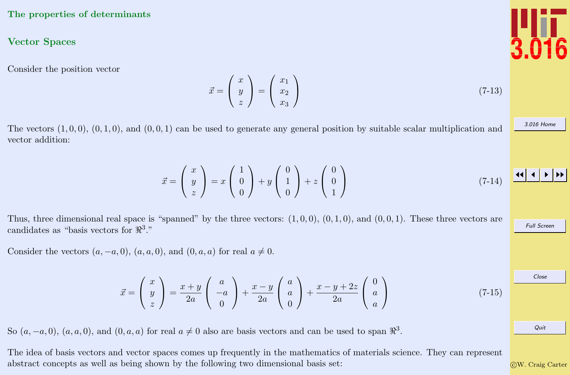## <span id="page-10-0"></span>The properties of determinants

## Vector Spaces

Consider the position vector

 $\vec{x} =$  $\sqrt{ }$  $\mathcal{L}$  $\boldsymbol{x}$  $\hat{y}$ z  $\setminus$  $\Big\} =$  $\sqrt{ }$  $\mathcal{L}$  $\overline{x}_1$  $\overline{x_2}$  $\overline{x_3}$  $\setminus$  $(7-13)$ 

The vectors  $(1, 0, 0)$ ,  $(0, 1, 0)$ , and  $(0, 0, 1)$  can be used to generate any general position by suitable scalar multiplication and vector addition:

$$
\vec{x} = \begin{pmatrix} x \\ y \\ z \end{pmatrix} = x \begin{pmatrix} 1 \\ 0 \\ 0 \end{pmatrix} + y \begin{pmatrix} 0 \\ 1 \\ 0 \end{pmatrix} + z \begin{pmatrix} 0 \\ 0 \\ 1 \end{pmatrix}
$$
 (7-14)

Thus, three dimensional real space is "spanned" by the three vectors:  $(1,0,0)$ ,  $(0,1,0)$ , and  $(0,0,1)$ . These three vectors are candidates as "basis vectors for  $\mathbb{R}^3$ ."

Consider the vectors  $(a, -a, 0)$ ,  $(a, a, 0)$ , and  $(0, a, a)$  for real  $a \neq 0$ .

$$
\vec{x} = \begin{pmatrix} x \\ y \\ z \end{pmatrix} = \frac{x+y}{2a} \begin{pmatrix} a \\ -a \\ 0 \end{pmatrix} + \frac{x-y}{2a} \begin{pmatrix} a \\ a \\ 0 \end{pmatrix} + \frac{x-y+2z}{2a} \begin{pmatrix} 0 \\ a \\ a \end{pmatrix}
$$
(7-15)

So  $(a, -a, 0)$ ,  $(a, a, 0)$ , and  $(0, a, a)$  for real  $a \neq 0$  also are basis vectors and can be used to span  $\mathbb{R}^3$ .

The idea of basis vectors and vector spaces comes up frequently in the mathematics of materials science. They can represent abstract concepts as well as being shown by the following two dimensional basis set:



[3.016 Home](http://pruffle.mit.edu/3.016-2012/)

JJ J I II

Full Screen

Close

Quit

c W. Craig Carter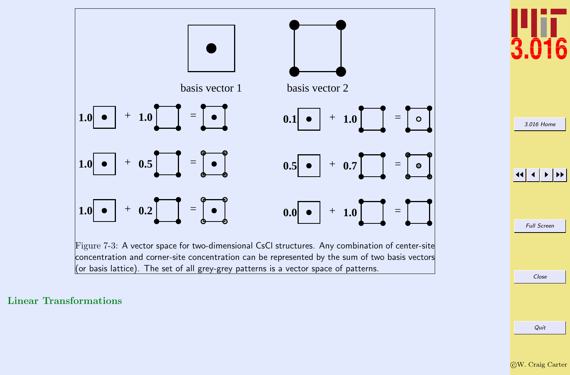<span id="page-11-0"></span>

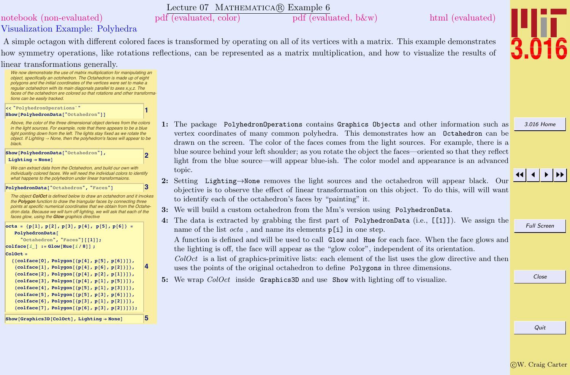Quit

# Lecture 07 MATHEMATICA(R) Example 6

<span id="page-12-0"></span>[notebook \(non-evaluated\)](http://pruffle.mit.edu/3.016-2012/Notebooks/L07/Lecture-07.nb) [pdf \(evaluated, color\)](http://pruffle.mit.edu/3.016-2012/pdf/L07/Lecture-07-6-COL.pdf) [pdf \(evaluated, b&w\)](http://pruffle.mit.edu/3.016-2012/pdf/L07/Lecture-07-6-BW.pdf) [html \(evaluated\)](http://pruffle.mit.edu/3.016-2012/html/Lecture-07/HTMLLinks/index_6.html)

A simple octagon with different colored faces is transformed by operating on all of its vertices with a matrix. This example demonstrates how symmetry operations, like rotations reflections, can be represented as a matrix multiplication, and how to visualize the results of linear transformations generally.

> 1: The package PolyhedronOperations contains Graphics Objects and other information such as vertex coordinates of many common polyhedra. This demonstrates how an Octahedron can be drawn on the screen. The color of the faces comes from the light sources. For example, there is a blue source behind your left shoulder; as you rotate the object the faces—oriented so that they reflect light from the blue source—will appear blue-ish. The color model and appearance is an advanced topic.

- 2: Setting Lighting→None removes the light sources and the octahedron will appear black. Our objective is to observe the effect of linear transformation on this object. To do this, will will want to identify each of the octahedron's faces by "painting" it.
- 3: We will build a custom octahedron from the Mm's version using PolyhedronData.
- 4: The data is extracted by grabbing the first part of PolyhedronData (i.e., [[1]]). We assign the name of the list  $octa$ , and name its elements  $p[i]$  in one step.

A function is defined and will be used to call Glow and Hue for each face. When the face glows and the lighting is off, the face will appear as the "glow color", independent of its orientation.

 $ColOct$  is a list of graphics-primitive lists: each element of the list uses the glow directive and then uses the points of the original octahedron to define Polygons in three dimensions.

5: We wrap ColOct inside Graphics3D and use Show with lighting off to visualize.

Full Screen

Close



[3.016 Home](http://pruffle.mit.edu/3.016-2012/)

# $\blacktriangleleft$



Visualization Example: Polyhedra

**4**

[We now demonstrate the use of matrix multiplication for manipulating an](http://pruffle.mit.edu/3.016-2012/html/Lecture-07/HTMLLinks/index_6.html) object, specifically an octohedron. The Octahedron is made up of eight polygons and the initial coordinates of the vertices were set to make a regular octahedron with its main diagonals parallel to axes x,y,z. The faces of the octahedron are colored so that rotations and other transformations can be easily tracked. **1 << "PolyhedronOperations`"**

### $Show[PolyhedronData["Octahedron"]$

Above, the color of the three dimensional object derives from the colors in the light sources. For example, note that there appears to be a blue light pointing down from the left. The lights stay fixed as we rotate the object. If Lighting  $\rightarrow$  None, then the polyhedron's faces will appear to be black.

**2 D**  $Lighting \rightarrow None$ 

We can extract data from the Octahedron, and build our own with individually colored faces. We will need the individual colors to identify what happens to the polyhedron under linear transformaions.

**PolyhedronData**<sup>["Octahedron", "Faces"]</sup>

The object **ColOct** is defined below to draw an octahedron and it invokes the **Polygon** function to draw the triangular faces by connecting three points at specific numerical coordinates that we obtain from the Octahedron data. Because we will turn off lighting, we will ask that each of the faces glow, using the **Glow** graphics directive

 $octa = {p[1], p[2], p[3], p[4], p[5], p[6]}$  = **PolyhedronData@**  $"Octahedron", "Faces"]$  [[1]];  $|colface[i] := Glow[Hue[i/8]]$ ; **ColOct = 88colface@0D, Polygon@8p@4D, p@5D, p@6D<D<,**  ${p[4], p[6], p[2]}}$  ${p(4), p(1)}$  ${p(4), p(5)}$  ${p[1], p[3]}$ **8colface@5D, Polygon@8p@5D, p@3D, p@6D<D<,**  ${p[1], p[2]}\}$ ,  ${p[2]}\}$ ,  ${p[3], p[2]}\}$ ,  ${p[6], p[3], p[2]}};$ 

 $\begin{bmatrix} \text{Show} \left[ \text{Graphics3D} \left[ \text{ColOct} \right] \end{bmatrix}$ , Lighting  $\rightarrow$  None $\begin{bmatrix} 5 \end{bmatrix}$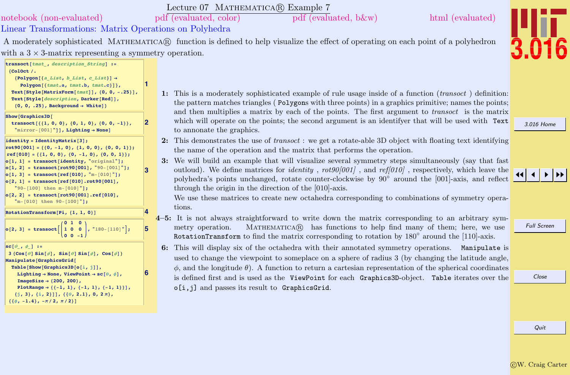c W. Craig Carter

Quit

| inear Transformations: Matrix Operations on Pol                                                                                                                                                                                                                                                                                                                                                                                                    |   |          |                                                                                |
|----------------------------------------------------------------------------------------------------------------------------------------------------------------------------------------------------------------------------------------------------------------------------------------------------------------------------------------------------------------------------------------------------------------------------------------------------|---|----------|--------------------------------------------------------------------------------|
| A moderately sophisticated MATHEMATICA® function                                                                                                                                                                                                                                                                                                                                                                                                   |   |          |                                                                                |
| ith a $3 \times 3$ -matrix representing a symmetry operation                                                                                                                                                                                                                                                                                                                                                                                       |   |          |                                                                                |
| transoct [tmat_, description_String] :=<br>${color/}$ .<br>${Polygon[{a List, b List, c List}]} \rightarrow$<br>Polygon [{tmat.a, tmat.b, tmat.c}]},<br>Text[Style[MatrixForm[tmat]], {0, 0, -. 25}],<br>Text[Style[description, Darker[Red]],<br>$\{0, 0, .25\}$ , Background $\rightarrow$ White]}                                                                                                                                               | 1 | 1:       | This is a<br>the patte                                                         |
| Show [Graphics3D]<br>transoct $[{(1, 0, 0), (0, 1, 0), (0, 0, -1)}$<br>"mirror-[001]"]], Lighting -> None]                                                                                                                                                                                                                                                                                                                                         | 2 |          | and ther<br>which w<br>to annon                                                |
| identity = IdentityMatrix[3];<br>rot90 $[001] = \{(0, -1, 0), (1, 0, 0), (0, 0, 1)\};$<br>$ref[010] = \{\{1, 0, 0\}, \{0, -1, 0\}, \{0, 0, 1\}\};$<br>o[1, 1] = transoct[identity, "original"];<br>$o[1, 2] =$ transoct[rot90[001], "90-[001]"];<br>$o[1, 3] =$ transoct[ref[010], "m-[010]"];<br>$o[2, 1] =$ transoct[ref[010].rot90[001],<br>"90-[100] then m-[010]"];<br>$o[2, 2] =$ transoct[rot90[001].ref[010],<br>"m-[010] then 90-[100]"]; | 3 | 2:<br>3: | This den<br>the name<br>We will<br>outloud)<br>polyhedr<br>through<br>We use t |
| RotationTransform[Pi, {1, 1, 0}]                                                                                                                                                                                                                                                                                                                                                                                                                   | 4 |          | tions.                                                                         |
| $o[2, 3] = \text{transoct}\left[\begin{pmatrix} 0 & 1 & 0 \\ 1 & 0 & 0 \\ 0 & 0 & -1 \end{pmatrix}, 180 - [110]^{\circ}\right];$                                                                                                                                                                                                                                                                                                                   | 5 |          | $4-5$ : It is no<br>metry of<br>Rotation                                       |
| $\texttt{sc}[\theta_-, \phi_-]$ :=<br>$3\{\cos[\theta]\sin[\phi], \sin[\theta]\sin[\phi], \cos[\phi]\}$<br>Manipulate[GraphicsGrid[<br>Table[Show[Graphics3D[o[i, j]],<br>Lighting $\rightarrow$ None, ViewPoint $\rightarrow$ sc[ $\theta$ , $\phi$ ],<br>ImageSize $\rightarrow$ {200, 200},<br>PlotRange $\rightarrow$ { {-1, 1}, {-1, 1}, {-1, 1}}],                                                                                           | 6 | 6:       | This wil<br>used to<br>$\phi$ , and t<br>is define<br>ء لنجاه                  |

 $Sho$ 

**sc@q\_, f\_<sup>D</sup> :<sup>=</sup>**

 $\{j, 3\}, \{i, 2\}]$ ,  $\{6, 2.1\}, 0, 2\pi\}$ 

 $\{ \{\phi, -1.4\}, -\pi/2, \pi/2 \}$ 

### moderately sophisticated example of rule usage inside of a function ( $transoct$ ) definition:  $t$  ern matches triangles ( $P_{\text{olygons}}$  with three points) in a graphics primitive; names the points; multiplies a matrix by each of the points. The first argument to *transoct* is the matrix ill operate on the points; the second argument is an identifyer that will be used with Text ate the graphics.

- nonstrates the use of *transoct* : we get a rotate-able 3D object with floating text identifying e of the operation and the matrix that performs the operation.
- build an example that will visualize several symmetry steps simultaneously (say that fast . We define matrices for *identity* ,  $rot90[001]$  , and  $ref[010]$  , respectively, which leave the polyhedra's points unchanged, rotate counter-clockwise by  $90°$  around the [001]-axis, and reflect the origin in the direction of the  $[010]$ -axis.

these matrices to create new octahedra corresponding to combinations of symmetry opera-

- t always straightforward to write down the matrix corresponding to an arbitrary symperation. MATHEMATICA $\circledR$  has functions to help find many of them; here, we use RotationTransform to find the matrix corresponding to rotation by 180° around the [110]-axis.
- display six of the octahedra with their annotated symmetry operations. Manipulate is change the viewpoint to someplace on a sphere of radius  $3$  (by changing the latitude angle, he longitude  $\theta$ ). A function to return a cartesian representation of the spherical coordinates d first and is used as the ViewPoint for each Graphics3D-object. Table iterates over the o[i,j] and passes its result to GraphicsGrid.

[3.016 Home](http://pruffle.mit.edu/3.016-2012/)

Full Screen

Close

JJ J I II



Lecture 07 MATHEMATICA(R) Example 7

<span id="page-13-0"></span>[notebook \(non-evaluated\)](http://pruffle.mit.edu/3.016-2012/Notebooks/L07/Lecture-07.nb) [pdf \(evaluated, color\)](http://pruffle.mit.edu/3.016-2012/pdf/L07/Lecture-07-7-COL.pdf) [pdf \(evaluated, b&w\)](http://pruffle.mit.edu/3.016-2012/pdf/L07/Lecture-07-7-BW.pdf) [html \(evaluated\)](http://pruffle.mit.edu/3.016-2012/html/Lecture-07/HTMLLinks/index_7.html)

Linear Transformations: Matrix Operations on Polyhedra

A moderately sophisticated MATHEMATICA® function is defined to help visualize the effect of operating on each point of a polyhedron with a  $3 \times 3$ -matrix representing a symmetry operation.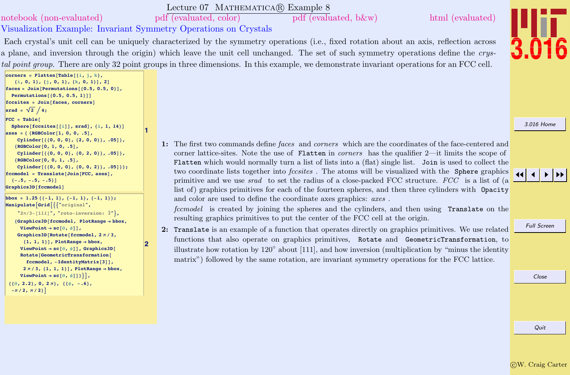# <span id="page-14-0"></span>[notebook \(non-evaluated\)](http://pruffle.mit.edu/3.016-2012/Notebooks/L07/Lecture-07.nb) [pdf \(evaluated, color\)](http://pruffle.mit.edu/3.016-2012/pdf/L07/Lecture-07-8-COL.pdf) [pdf \(evaluated, b&w\)](http://pruffle.mit.edu/3.016-2012/pdf/L07/Lecture-07-8-BW.pdf) [html \(evaluated\)](http://pruffle.mit.edu/3.016-2012/html/Lecture-07/HTMLLinks/index_8.html)

 $|$ **corners** = **Flatten**[Table<sup>[{i, j, k}</sup>, **8i, 0, 1<, 8j, 0, 1<, 8k, 0, 1<D, 2D**  $faces = Join[Permutations[{0.5, 0.5, 0}]$  $Permutations$   $(0.5, 0.5, 1)$  $fccsites = Join[faces, corners]$ 

**axes <sup>=</sup> <sup>8</sup> <sup>8</sup>RGBColor@1, 0, 0, .5D,**

**8RGBColor@0, 1, 0, .5D,**

**8RGBColor@0, 0, 1, .5D,**

 $\{-15, -15, -15, -15\}$  $Graphics3D$ <sup>[</sup> $fccmodel$ ]

 $-\pi/2, \pi/2$ 

 $\text{srad} = \sqrt{2}/4$ ;  $FCC = Table$ 

Visualization Example: Invariant Symmetry Operations on Crystals

**1**

**2**

Lecture 07 MATHEMATICA(R) Example 8

Each crystal's unit cell can be uniquely characterized by the symmetry operations (i.e., fixed rotation about an axis, reflection across a plane, and inversion through the origin) which leave the unit cell unchanged. The set of such symmetry operations define the crystal point group. There are only 32 point groups in three dimensions. In this example, we demonstrate invariant operations for an FCC cell.

[3.016 Home](http://pruffle.mit.edu/3.016-2012/)

JJ J I II

**ManipulateAGridA99"original",**  $\frac{1}{2}\pi/3 - [111]$ ", "roto-inversion:  $\bar{3}$ " }, **<sup>8</sup>Graphics3D@fccmodel, PlotRange <sup>Ø</sup> bbox,**  $\text{ViewPoint} \rightarrow \text{sc}[\theta, \phi]$ ,  $Graphics3D$ **[Rotate[fccmodel,**  $2 \pi / 3$ ,  ${1, 1, 1}$ ,  ${1}$ ,  ${Ploth}$  **PlotRange**  $\rightarrow$  **bbox**,  $ViewPoint \rightarrow \texttt{sc}[\theta, \phi]]$ ,  $Graphics3D$  $Rotate$ <sup>[</sup> $GeometricTransformation$ <sup>[</sup>  $fccmodel, -IdentityMatrix[3]]$  $2 \pi / 3$ ,  $\{1, 1, 1\}$ ,  $\}$ , PlotRange  $\rightarrow$  bbox,  $\text{ViewPoint} \rightarrow \text{sc}[\theta, \phi]$  } } } ,  ${6}$   ${6}$   ${2.2}$ ,  ${0}$ ,  ${2\pi}$ ,  ${6}$ ,  ${6}$ ,  ${-6}$ ,

 $\{ \text{bbox } x = 1.25 \{ \{-1, 1\}, \{-1, 1\}, \{-1, 1\} \}$ 

 $Sphere[fccsites[[i]], grad], {i, 1, 14}]$ 

**Cylinder@880, 0, 0<, 82, 0, 0<<, .05D<,**

 $Cylinder[{(0, 0, 0, 0], (0, 2, 0)}, .05],$ 

 $Cylinder[{(0, 0, 0], (0, 0, 2)},$  $fccmode1 = Translate[Join[FCC, axes],$ 

1: The first two commands define faces and corners which are the coordinates of the face-centered and corner lattice-sites. Note the use of Flatten in *corners* has the qualifier 2—it limits the scope of Flatten which would normally turn a list of lists into a (flat) single list. Join is used to collect the two coordinate lists together into *fecsites*. The atoms will be visualized with the Sphere graphics primitive and we use *srad* to set the radius of a close-packed FCC structure. FCC is a list of (a list of) graphics primitives for each of the fourteen spheres, and then three cylinders with Opacity and color are used to define the coordinate axes graphics: axes .

fccmodel is created by joining the spheres and the cylinders, and then using Translate on the resulting graphics primitives to put the center of the FCC cell at the origin.

2: Translate is an example of a function that operates directly on graphics primitives. We use related functions that also operate on graphics primitives, Rotate and GeometricTransformation, to illustrate how rotation by  $120°$  about [111], and how inversion (multiplication by "minus the identity matrix") followed by the same rotation, are invariant symmetry operations for the FCC lattice.

Full Screen

Close

c W. Craig Carter

Quit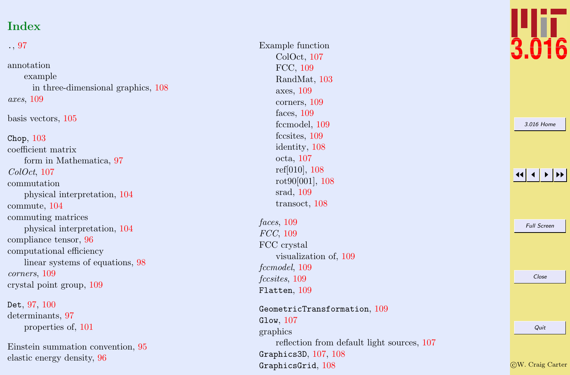# Index

| $\ldots97$                                                  |
|-------------------------------------------------------------|
| annotation<br>example<br>in three-dimensional graphics, 108 |
| axes, 109                                                   |
| basis vectors, 105                                          |
| Chop, $103$                                                 |
| coefficient matrix                                          |
| form in Mathematica, 97                                     |
| ColOct, 107                                                 |
| commutation                                                 |
| physical interpretation, 104                                |
| commute, 104                                                |
| commuting matrices                                          |
| physical interpretation, 104                                |
| compliance tensor, 96                                       |
| computational efficiency                                    |
| linear systems of equations, 98                             |
| corners, 109                                                |
| crystal point group, 109                                    |
|                                                             |

Det,  $97, 100$  $97, 100$  $97, 100$ determinants, [97](#page-2-0) properties of, [101](#page-6-0)

Einstein summation convention, [95](#page-0-0) elastic energy density, [96](#page-1-0)

Example function ColOct, [107](#page-12-0) FCC, [109](#page-14-0) RandMat, [103](#page-8-0) axes, [109](#page-14-0) corners, [109](#page-14-0) faces, [109](#page-14-0) fccmodel, [109](#page-14-0) fccsites, [109](#page-14-0) identity, [108](#page-13-0) octa, [107](#page-12-0) ref[010], [108](#page-13-0) rot90[001], [108](#page-13-0) srad, [109](#page-14-0) transoct, [108](#page-13-0) faces , [109](#page-14-0) FCC, [109](#page-14-0) FCC crystal visualization of, [109](#page-14-0) fccmodel, [109](#page-14-0) fccsites, [109](#page-14-0)

 ${\tt Flatten},\,109$  ${\tt Flatten},\,109$ 

 $\verb|GeometricTransformation|, 109$  $\verb|GeometricTransformation|, 109$  $\texttt{Glow},\,107$  $\texttt{Glow},\,107$ graphics reflection from default light sources, [107](#page-12-0)  $Graphics3D, 107, 108$  $Graphics3D, 107, 108$  $Graphics3D, 107, 108$  $Graphics3D, 107, 108$  $$ 



|  | 3.016 Home         |  |
|--|--------------------|--|
|  |                    |  |
|  |                    |  |
|  |                    |  |
|  |                    |  |
|  |                    |  |
|  | <b>Full Screen</b> |  |
|  |                    |  |
|  |                    |  |
|  |                    |  |
|  | Close              |  |
|  |                    |  |
|  |                    |  |
|  | Quit               |  |
|  |                    |  |

c W. Craig Carter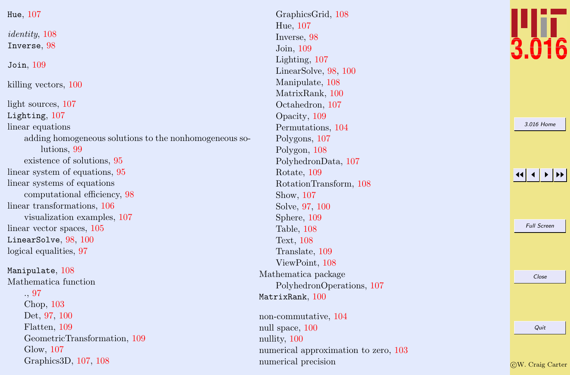| Hue, $107$                                             |
|--------------------------------------------------------|
| identity, 108                                          |
| Inverse, 98                                            |
| Join, $109$                                            |
| killing vectors, 100                                   |
| light sources, 107                                     |
| Lighting, 107                                          |
| linear equations                                       |
| adding homogeneous solutions to the nonhomogeneous so- |
| lutions, 99                                            |
| existence of solutions, 95                             |
| linear system of equations, 95                         |
| linear systems of equations                            |
| computational efficiency, 98                           |
| linear transformations, 106                            |
| visualization examples, 107                            |
| linear vector spaces, 105                              |
| LinearSolve, 98, 100                                   |
| logical equalities, 97                                 |
| Manipulate, 108                                        |
| Mathematica function                                   |
| .97                                                    |
| Chop, 103                                              |
| Det, 97, 100                                           |
| Flatten, 109                                           |
| GeometricTransformation, 109                           |
| Glow, 107                                              |
| Graphics3D, 107, 108                                   |

GraphicsGrid, [108](#page-13-0) Hue, [107](#page-12-0) Inverse, [98](#page-3-0) Join, [109](#page-14-0) Lighting, [107](#page-12-0) LinearSolve, [98](#page-3-0) , [100](#page-5-0) Manipulate, [108](#page-13-0) MatrixRank, [100](#page-5-0) Octahedron, [107](#page-12-0) Opacity, [109](#page-14-0) Permutations, [104](#page-9-0) Polygons, [107](#page-12-0) Polygon, [108](#page-13-0) PolyhedronData, [107](#page-12-0) Rotate, [109](#page-14-0) RotationTransform, [108](#page-13-0) Show, [107](#page-12-0) Solve, [97](#page-2-0) , [100](#page-5-0) Sphere, [109](#page-14-0) Table, [108](#page-13-0) Text, [108](#page-13-0) Translate, [109](#page-14-0) ViewPoint, [108](#page-13-0) Mathematica package PolyhedronOperations, [107](#page-12-0)  $\texttt{MatrixRank},\,100$  $\texttt{MatrixRank},\,100$ 

non-commutative, [104](#page-9-0) null space, [100](#page-5-0) nullity, [100](#page-5-0) numerical approximation to zero, [103](#page-8-0) numerical precision



[3.016 Home](http://pruffle.mit.edu/3.016-2012/)

11  $\blacktriangleleft$ I II

Full Screen

Close

Quit

c W. Craig Carter